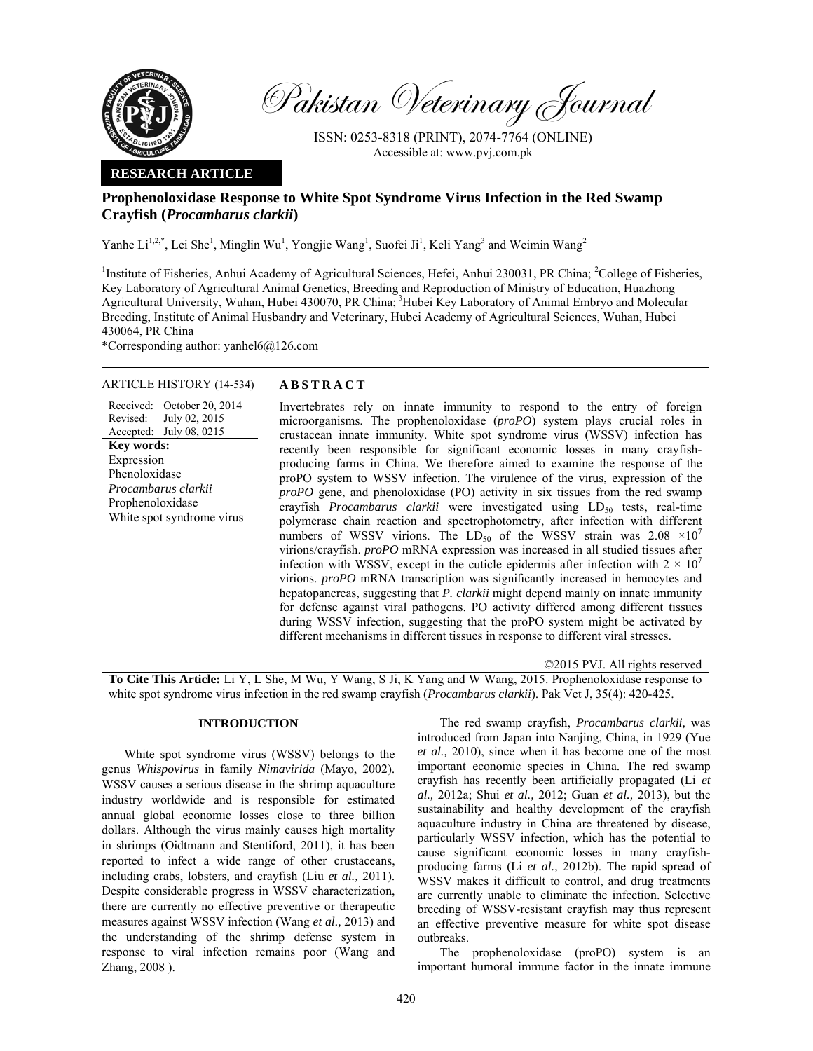

Pakistan Veterinary Journal

ISSN: 0253-8318 (PRINT), 2074-7764 (ONLINE) Accessible at: www.pvj.com.pk

## **RESEARCH ARTICLE**

# **Prophenoloxidase Response to White Spot Syndrome Virus Infection in the Red Swamp Crayfish (***Procambarus clarkii***)**

Yanhe Li<sup>1,2,\*</sup>, Lei She<sup>1</sup>, Minglin Wu<sup>1</sup>, Yongjie Wang<sup>1</sup>, Suofei Ji<sup>1</sup>, Keli Yang<sup>3</sup> and Weimin Wang<sup>2</sup>

<sup>1</sup>Institute of Fisheries, Anhui Academy of Agricultural Sciences, Hefei, Anhui 230031, PR China; <sup>2</sup>College of Fisheries, Key Laboratory of Agricultural Animal Genetics, Breeding and Reproduction of Ministry of Education, Huazhong Agricultural University, Wuhan, Hubei 430070, PR China; <sup>3</sup>Hubei Key Laboratory of Animal Embryo and Molecular Breeding, Institute of Animal Husbandry and Veterinary, Hubei Academy of Agricultural Sciences, Wuhan, Hubei 430064, PR China

\*Corresponding author: yanhel6@126.com

## ARTICLE HISTORY (14-534) **ABSTRACT**

#### Received: October 20, 2014 Revised: Accepted: July 02, 2015 July 08, 0215 **Key words:**  Expression Phenoloxidase *Procambarus clarkii* Prophenoloxidase White spot syndrome virus

 Invertebrates rely on innate immunity to respond to the entry of foreign microorganisms. The prophenoloxidase (*proPO*) system plays crucial roles in crustacean innate immunity. White spot syndrome virus (WSSV) infection has recently been responsible for significant economic losses in many crayfishproducing farms in China. We therefore aimed to examine the response of the proPO system to WSSV infection. The virulence of the virus, expression of the *proPO* gene, and phenoloxidase (PO) activity in six tissues from the red swamp crayfish *Procambarus clarkii* were investigated using LD<sub>50</sub> tests, real-time polymerase chain reaction and spectrophotometry, after infection with different numbers of WSSV virions. The LD<sub>50</sub> of the WSSV strain was  $2.08 \times 10^{7}$ virions/crayfish. *proPO* mRNA expression was increased in all studied tissues after infection with WSSV, except in the cuticle epidermis after infection with  $2 \times 10^7$ virions. *proPO* mRNA transcription was significantly increased in hemocytes and hepatopancreas, suggesting that *P. clarkii* might depend mainly on innate immunity for defense against viral pathogens. PO activity differed among different tissues during WSSV infection, suggesting that the proPO system might be activated by different mechanisms in different tissues in response to different viral stresses.

©2015 PVJ. All rights reserved

**To Cite This Article:** Li Y, L She, M Wu, Y Wang, S Ji, K Yang and W Wang, 2015. Prophenoloxidase response to white spot syndrome virus infection in the red swamp crayfish (*Procambarus clarkii*). Pak Vet J, 35(4): 420-425.

## **INTRODUCTION**

White spot syndrome virus (WSSV) belongs to the genus *Whispovirus* in family *Nimavirida* (Mayo, 2002). WSSV causes a serious disease in the shrimp aquaculture industry worldwide and is responsible for estimated annual global economic losses close to three billion dollars. Although the virus mainly causes high mortality in shrimps (Oidtmann and Stentiford, 2011), it has been reported to infect a wide range of other crustaceans, including crabs, lobsters, and crayfish (Liu *et al.,* 2011). Despite considerable progress in WSSV characterization, there are currently no effective preventive or therapeutic measures against WSSV infection (Wang *et al.,* 2013) and the understanding of the shrimp defense system in response to viral infection remains poor (Wang and Zhang, 2008 ).

The red swamp crayfish, *Procambarus clarkii,* was introduced from Japan into Nanjing, China, in 1929 (Yue *et al.,* 2010), since when it has become one of the most important economic species in China. The red swamp crayfish has recently been artificially propagated (Li *et al.,* 2012a; Shui *et al.,* 2012; Guan *et al.,* 2013), but the sustainability and healthy development of the crayfish aquaculture industry in China are threatened by disease, particularly WSSV infection, which has the potential to cause significant economic losses in many crayfishproducing farms (Li *et al.,* 2012b). The rapid spread of WSSV makes it difficult to control, and drug treatments are currently unable to eliminate the infection. Selective breeding of WSSV-resistant crayfish may thus represent an effective preventive measure for white spot disease outbreaks.

The prophenoloxidase (proPO) system is an important humoral immune factor in the innate immune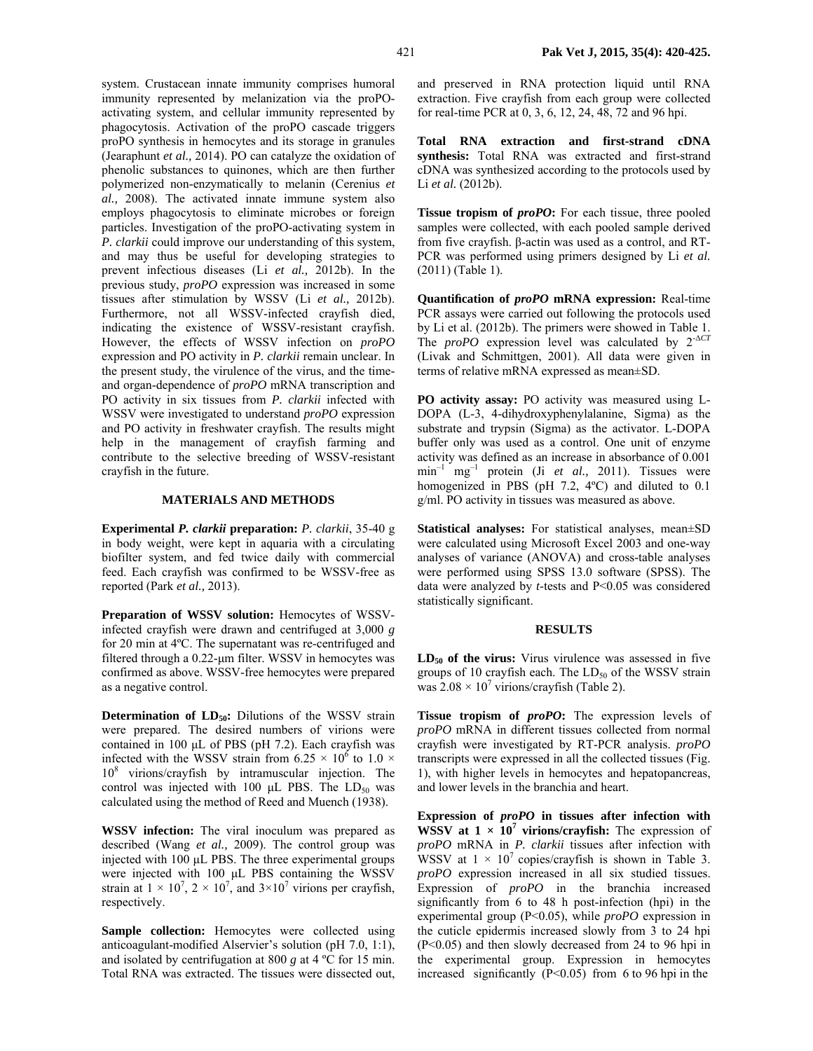system. Crustacean innate immunity comprises humoral immunity represented by melanization via the proPOactivating system, and cellular immunity represented by phagocytosis. Activation of the proPO cascade triggers proPO synthesis in hemocytes and its storage in granules (Jearaphunt *et al.,* 2014). PO can catalyze the oxidation of phenolic substances to quinones, which are then further polymerized non-enzymatically to melanin (Cerenius *et al.,* 2008). The activated innate immune system also employs phagocytosis to eliminate microbes or foreign particles. Investigation of the proPO-activating system in *P. clarkii* could improve our understanding of this system, and may thus be useful for developing strategies to prevent infectious diseases (Li *et al.,* 2012b). In the previous study, *proPO* expression was increased in some tissues after stimulation by WSSV (Li *et al.,* 2012b). Furthermore, not all WSSV-infected crayfish died, indicating the existence of WSSV-resistant crayfish. However, the effects of WSSV infection on *proPO*  expression and PO activity in *P. clarkii* remain unclear. In the present study, the virulence of the virus, and the timeand organ-dependence of *proPO* mRNA transcription and PO activity in six tissues from *P. clarkii* infected with WSSV were investigated to understand *proPO* expression and PO activity in freshwater crayfish. The results might help in the management of crayfish farming and contribute to the selective breeding of WSSV-resistant

## **MATERIALS AND METHODS**

crayfish in the future.

**Experimental** *P. clarkii* **preparation:** *P. clarkii*, 35-40 g in body weight, were kept in aquaria with a circulating biofilter system, and fed twice daily with commercial feed. Each crayfish was confirmed to be WSSV-free as reported (Park *et al.,* 2013).

**Preparation of WSSV solution:** Hemocytes of WSSVinfected crayfish were drawn and centrifuged at 3,000 *g* for 20 min at 4ºC. The supernatant was re-centrifuged and filtered through a 0.22-µm filter. WSSV in hemocytes was confirmed as above. WSSV-free hemocytes were prepared as a negative control.

**Determination of LD<sub>50</sub>:** Dilutions of the WSSV strain were prepared. The desired numbers of virions were contained in 100 µL of PBS (pH 7.2). Each crayfish was infected with the WSSV strain from 6.25  $\times$  10<sup>6</sup> to 1.0  $\times$ 10<sup>8</sup> virions/crayfish by intramuscular injection. The control was injected with 100  $\mu$ L PBS. The LD<sub>50</sub> was calculated using the method of Reed and Muench (1938).

**WSSV infection:** The viral inoculum was prepared as described (Wang *et al.,* 2009). The control group was injected with 100 µL PBS. The three experimental groups were injected with 100 µL PBS containing the WSSV strain at  $1 \times 10^7$ ,  $2 \times 10^7$ , and  $3 \times 10^7$  virions per crayfish, respectively.

**Sample collection:** Hemocytes were collected using anticoagulant-modified Alservier's solution (pH 7.0, 1:1), and isolated by centrifugation at 800 *g* at 4 ºC for 15 min. Total RNA was extracted. The tissues were dissected out,

and preserved in RNA protection liquid until RNA extraction. Five crayfish from each group were collected for real-time PCR at 0, 3, 6, 12, 24, 48, 72 and 96 hpi.

**Total RNA extraction and first-strand cDNA synthesis:** Total RNA was extracted and first-strand cDNA was synthesized according to the protocols used by Li *et al.* (2012b).

**Tissue tropism of** *proPO***:** For each tissue, three pooled samples were collected, with each pooled sample derived from five crayfish. β-actin was used as a control, and RT-PCR was performed using primers designed by Li *et al.* (2011) (Table 1).

**Quantification of** *proPO* **mRNA expression:** Real-time PCR assays were carried out following the protocols used by Li et al. (2012b). The primers were showed in Table 1. The  $prob$  expression level was calculated by  $2^{\Delta CT}$ (Livak and Schmittgen, 2001). All data were given in terms of relative mRNA expressed as mean±SD.

**PO activity assay:** PO activity was measured using L-DOPA (L-3, 4-dihydroxyphenylalanine, Sigma) as the substrate and trypsin (Sigma) as the activator. L-DOPA buffer only was used as a control. One unit of enzyme activity was defined as an increase in absorbance of 0.001  $min^{-1}$  mg<sup>-1</sup> protein (Ji *et al.*, 2011). Tissues were homogenized in PBS (pH 7.2, 4°C) and diluted to 0.1 g/ml. PO activity in tissues was measured as above.

**Statistical analyses:** For statistical analyses, mean±SD were calculated using Microsoft Excel 2003 and one-way analyses of variance (ANOVA) and cross-table analyses were performed using SPSS 13.0 software (SPSS). The data were analyzed by *t*-tests and P<0.05 was considered statistically significant.

### **RESULTS**

**LD<sub>50</sub>** of the virus: Virus virulence was assessed in five groups of 10 crayfish each. The  $LD_{50}$  of the WSSV strain was  $2.08 \times 10^7$  virions/crayfish (Table 2).

**Tissue tropism of** *proPO***:** The expression levels of *proPO* mRNA in different tissues collected from normal crayfish were investigated by RT-PCR analysis. *proPO*  transcripts were expressed in all the collected tissues (Fig. 1), with higher levels in hemocytes and hepatopancreas, and lower levels in the branchia and heart.

**Expression of** *proPO* **in tissues after infection with WSSV** at  $1 \times 10^7$  virions/crayfish: The expression of *proPO* mRNA in *P. clarkii* tissues after infection with WSSV at  $1 \times 10^7$  copies/crayfish is shown in Table 3. *proPO* expression increased in all six studied tissues. Expression of *proPO* in the branchia increased significantly from 6 to 48 h post-infection (hpi) in the experimental group (P<0.05), while *proPO* expression in the cuticle epidermis increased slowly from 3 to 24 hpi (P<0.05) and then slowly decreased from 24 to 96 hpi in the experimental group. Expression in hemocytes increased significantly  $(P<0.05)$  from 6 to 96 hpi in the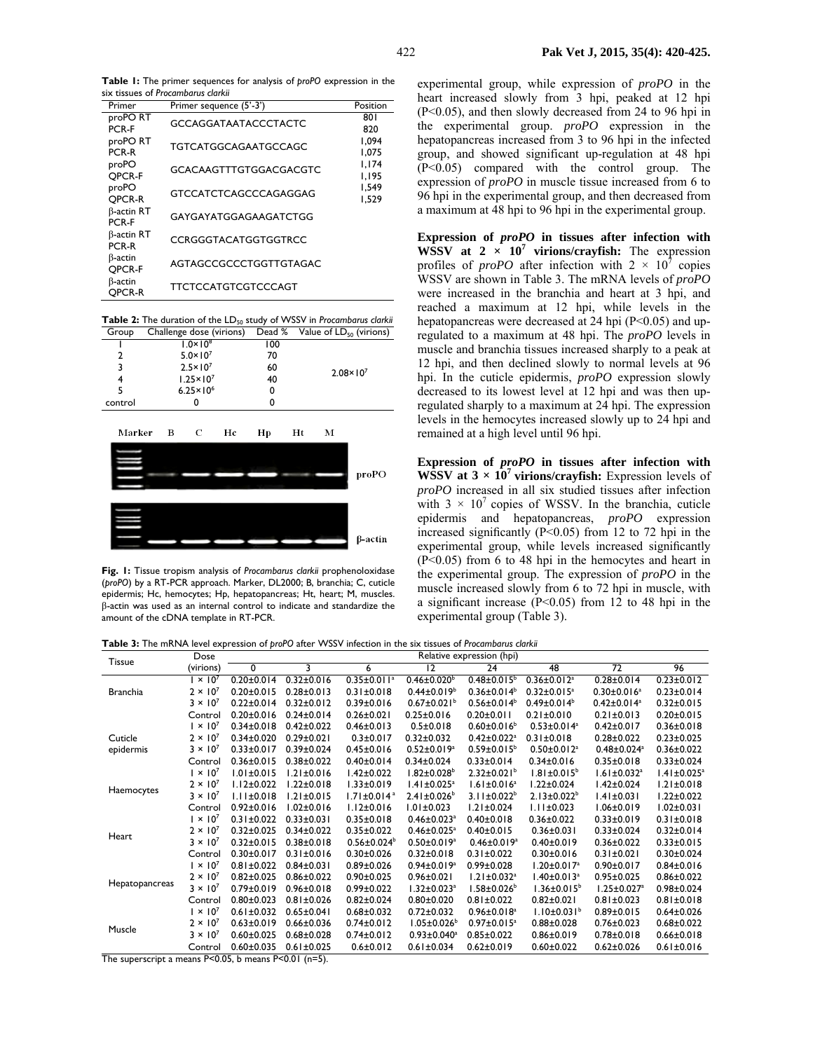**Table 1:** The primer sequences for analysis of *proPO* expression in the six tissues of *Procambarus clarkii*

| Primer                       | Primer sequence (5'-3')     | Position       |
|------------------------------|-----------------------------|----------------|
| proPO <sub>RT</sub><br>PCR-F | <b>GCCAGGATAATACCCTACTC</b> | 801<br>820     |
| proPO <sub>RT</sub><br>PCR-R | TGTCATGGCAGAATGCCAGC        | 1.094<br>1,075 |
| proPO<br><b>OPCR-F</b>       | GCACAAGTTTGTGGACGACGTC      | 1,174<br>1,195 |
| proPO<br><b>OPCR-R</b>       | GTCCATCTCAGCCCAGAGGAG       | 1,549<br>1,529 |
| $\beta$ -actin RT<br>PCR-F   | GAYGAYATGGAGAAGATCTGG       |                |
| $\beta$ -actin RT<br>PCR-R   | <b>CCRGGGTACATGGTGGTRCC</b> |                |
| β-actin<br><b>OPCR-F</b>     | AGTAGCCGCCCTGGTTGTAGAC      |                |
| β-actin<br>OPCR-R            | <b>TTCTCCATGTCGTCCCAGT</b>  |                |

Table 2: The duration of the LD<sub>50</sub> study of WSSV in *Procambarus clarkii* Group Challenge dose (virions) Dead  $%$  Value of LD $_{50}$  (virions)

| ----    |   |                      |    | - --- - |    | $\frac{1}{2}$ and $\frac{1}{2}$ is $\frac{1}{2}$ in $\frac{1}{2}$ in $\frac{1}{2}$ is $\frac{1}{2}$ |  |  |
|---------|---|----------------------|----|---------|----|-----------------------------------------------------------------------------------------------------|--|--|
|         |   | $1.0 \times 10^{8}$  |    | 100     |    | $2.08 \times 10^{7}$                                                                                |  |  |
| 7       |   | $5.0 \times 10^{7}$  |    | 70      |    |                                                                                                     |  |  |
| 3       |   | $2.5 \times 10^7$    |    | 60      |    |                                                                                                     |  |  |
| 4       |   | $1.25 \times 10^{7}$ |    | 40      |    |                                                                                                     |  |  |
| 5       |   | $6.25 \times 10^{6}$ |    | 0       |    |                                                                                                     |  |  |
| control |   |                      |    | 0       |    |                                                                                                     |  |  |
|         |   |                      |    |         |    |                                                                                                     |  |  |
| Marker  | в | C                    | Hc | Hp      | Ht | м                                                                                                   |  |  |



**Fig. 1:** Tissue tropism analysis of *Procambarus clarkii* prophenoloxidase (*proPO*) by a RT-PCR approach. Marker, DL2000; B, branchia; C, cuticle epidermis; Hc, hemocytes; Hp, hepatopancreas; Ht, heart; M, muscles. β-actin was used as an internal control to indicate and standardize the amount of the cDNA template in RT-PCR.

experimental group, while expression of *proPO* in the heart increased slowly from 3 hpi, peaked at 12 hpi (P<0.05), and then slowly decreased from 24 to 96 hpi in the experimental group. *proPO* expression in the hepatopancreas increased from 3 to 96 hpi in the infected group, and showed significant up-regulation at 48 hpi (P<0.05) compared with the control group. The expression of *proPO* in muscle tissue increased from 6 to 96 hpi in the experimental group, and then decreased from a maximum at 48 hpi to 96 hpi in the experimental group.

**Expression of** *proPO* **in tissues after infection with WSSV** at  $2 \times 10^7$  virions/crayfish: The expression profiles of *proPO* after infection with  $2 \times 10^7$  copies WSSV are shown in Table 3. The mRNA levels of *proPO* were increased in the branchia and heart at 3 hpi, and reached a maximum at 12 hpi, while levels in the hepatopancreas were decreased at 24 hpi (P<0.05) and upregulated to a maximum at 48 hpi. The *proPO* levels in muscle and branchia tissues increased sharply to a peak at 12 hpi, and then declined slowly to normal levels at 96 hpi. In the cuticle epidermis, *proPO* expression slowly decreased to its lowest level at 12 hpi and was then upregulated sharply to a maximum at 24 hpi. The expression levels in the hemocytes increased slowly up to 24 hpi and remained at a high level until 96 hpi.

**Expression of** *proPO* **in tissues after infection with WSSV at 3**  $\times$  **10<sup>7</sup> virions/crayfish:** Expression levels of *proPO* increased in all six studied tissues after infection with  $3 \times 10^7$  copies of WSSV. In the branchia, cuticle epidermis and hepatopancreas, *proPO* expression increased significantly (P<0.05) from 12 to 72 hpi in the experimental group, while levels increased significantly (P<0.05) from 6 to 48 hpi in the hemocytes and heart in the experimental group. The expression of *proPO* in the muscle increased slowly from 6 to 72 hpi in muscle, with a significant increase (P<0.05) from 12 to 48 hpi in the experimental group (Table 3).

**Table 3:** The mRNA level expression of *proPO* after WSSV infection in the six tissues of *Procambarus clarkii*

| <b>Tissue</b>        | Dose                     |                  |                  |                               |                               | Relative expression (hpi)     |                               |                               |                               |
|----------------------|--------------------------|------------------|------------------|-------------------------------|-------------------------------|-------------------------------|-------------------------------|-------------------------------|-------------------------------|
|                      | (virions)                | 0                | 3                | 6                             | 12                            | 24                            | 48                            | $\overline{72}$               | 96                            |
| <b>Branchia</b>      | $\times 10^{7}$          | $0.20 \pm 0.014$ | $0.32 \pm 0.016$ | $0.35 \pm 0.011$ <sup>a</sup> | $0.46 \pm 0.020^b$            | $0.48 \pm 0.015^b$            | $0.36 \pm 0.012$ <sup>a</sup> | $0.28 \pm 0.014$              | $0.23 \pm 0.012$              |
|                      | $2 \times 10^{7}$        | $0.20 \pm 0.015$ | $0.28 \pm 0.013$ | $0.31 \pm 0.018$              | $0.44 \pm 0.019^b$            | $0.36 \pm 0.014^b$            | $0.32 \pm 0.015$ <sup>a</sup> | $0.30 \pm 0.016^a$            | $0.23 \pm 0.014$              |
|                      | $3 \times 10^{7}$        | $0.22 \pm 0.014$ | $0.32 \pm 0.012$ | $0.39 \pm 0.016$              | $0.67 \pm 0.021$ <sup>b</sup> | $0.56 \pm 0.014$ <sup>b</sup> | $0.49 \pm 0.014^b$            | $0.42 \pm 0.014$ <sup>a</sup> | $0.32 \pm 0.015$              |
|                      | Control                  | $0.20 \pm 0.016$ | $0.24 \pm 0.014$ | $0.26 \pm 0.021$              | $0.25 \pm 0.016$              | $0.20 \pm 0.011$              | $0.21 \pm 0.010$              | $0.21 \pm 0.013$              | $0.20 \pm 0.015$              |
| Cuticle<br>epidermis | $\times 10^7$            | $0.34 \pm 0.018$ | $0.42 \pm 0.022$ | $0.46 \pm 0.013$              | $0.5 \pm 0.018$               | $0.60 \pm 0.016^b$            | $0.53 \pm 0.014$ <sup>a</sup> | $0.42 \pm 0.017$              | $0.36 \pm 0.018$              |
|                      | $2 \times 10^{7}$        | $0.34 \pm 0.020$ | $0.29 \pm 0.021$ | $0.3 \pm 0.017$               | $0.32 \pm 0.032$              | $0.42 \pm 0.022$ <sup>a</sup> | $0.31 \pm 0.018$              | $0.28 \pm 0.022$              | $0.23 \pm 0.025$              |
|                      | $3 \times 10^{7}$        | $0.33 \pm 0.017$ | $0.39 \pm 0.024$ | $0.45 \pm 0.016$              | $0.52 \pm 0.019$ <sup>a</sup> | $0.59 \pm 0.015^b$            | $0.50 \pm 0.012$ <sup>a</sup> | $0.48 \pm 0.024$ <sup>a</sup> | $0.36 \pm 0.022$              |
|                      | Control                  | $0.36 \pm 0.015$ | $0.38 \pm 0.022$ | $0.40 \pm 0.014$              | $0.34 \pm 0.024$              | $0.33 \pm 0.014$              | $0.34 \pm 0.016$              | $0.35 \pm 0.018$              | $0.33 \pm 0.024$              |
| Haemocytes           | $\times 10^7$            | $1.01 \pm 0.015$ | $1.21 \pm 0.016$ | $1.42 \pm 0.022$              | $1.82 \pm 0.028$ <sup>b</sup> | $2.32 \pm 0.021$ <sup>b</sup> | $1.81 \pm 0.015^b$            | $1.61 \pm 0.032$ <sup>a</sup> | $1.41 \pm 0.025$ <sup>a</sup> |
|                      | $2 \times 10^{7}$        | $1.12 \pm 0.022$ | $1.22 \pm 0.018$ | $1.33 \pm 0.019$              | $1.41 \pm 0.025$ <sup>a</sup> | $1.61 \pm 0.016^a$            | $1.22 \pm 0.024$              | $1.42 \pm 0.024$              | $1.21 \pm 0.018$              |
|                      | $3 \times 10^{7}$        | $1.11 \pm 0.018$ | $1.21 \pm 0.015$ | $1.71 \pm 0.014$ <sup>a</sup> | $2.41 \pm 0.026^b$            | $3.11 \pm 0.022^b$            | $2.13 \pm 0.022^b$            | $1.41 \pm 0.031$              | $1.22 \pm 0.022$              |
|                      | Control                  | $0.92 \pm 0.016$ | $1.02 \pm 0.016$ | $1.12 \pm 0.016$              | $1.01 \pm 0.023$              | $1.21 \pm 0.024$              | $1.11 \pm 0.023$              | $1.06 \pm 0.019$              | $1.02 \pm 0.031$              |
|                      | $\times 10^7$            | $0.31 \pm 0.022$ | $0.33 \pm 0.031$ | $0.35 \pm 0.018$              | $0.46 \pm 0.023$ <sup>a</sup> | $0.40 \pm 0.018$              | $0.36 \pm 0.022$              | $0.33 \pm 0.019$              | $0.31 \pm 0.018$              |
| Heart                | $2 \times 10^{7}$        | $0.32 \pm 0.025$ | $0.34 \pm 0.022$ | $0.35 \pm 0.022$              | $0.46 \pm 0.025$ <sup>a</sup> | $0.40 \pm 0.015$              | $0.36 \pm 0.031$              | $0.33 \pm 0.024$              | $0.32 \pm 0.014$              |
|                      | $3 \times 10^{7}$        | $0.32 \pm 0.015$ | $0.38 \pm 0.018$ | $0.56 \pm 0.024^b$            | $0.50 \pm 0.019$ <sup>a</sup> | $0.46 \pm 0.019$ <sup>a</sup> | $0.40 \pm 0.019$              | $0.36 \pm 0.022$              | $0.33 \pm 0.015$              |
|                      | Control                  | $0.30 \pm 0.017$ | $0.31 \pm 0.016$ | $0.30 \pm 0.026$              | $0.32 \pm 0.018$              | $0.31 \pm 0.022$              | $0.30 \pm 0.016$              | $0.31 \pm 0.021$              | $0.30 \pm 0.024$              |
| Hepatopancreas       | $\times 10^7$            | $0.81 \pm 0.022$ | $0.84 \pm 0.031$ | $0.89 + 0.026$                | $0.94 \pm 0.019^a$            | $0.99 \pm 0.028$              | $1.20 \pm 0.017$ <sup>a</sup> | $0.90 \pm 0.017$              | $0.84 \pm 0.016$              |
|                      | $2 \times 10^{7}$        | $0.82 \pm 0.025$ | $0.86 \pm 0.022$ | $0.90 \pm 0.025$              | $0.96 \pm 0.021$              | $1.21 \pm 0.032$ <sup>a</sup> | $1.40 \pm 0.013$ <sup>a</sup> | $0.95 \pm 0.025$              | $0.86 \pm 0.022$              |
|                      | $3 \times 10^{7}$        | $0.79 \pm 0.019$ | $0.96 \pm 0.018$ | $0.99 \pm 0.022$              | $1.32 \pm 0.023$ <sup>a</sup> | $1.58 \pm 0.026^{\circ}$      | $1.36 \pm 0.015^{\circ}$      | $1.25 \pm 0.027$ <sup>a</sup> | $0.98 \pm 0.024$              |
|                      | Control                  | $0.80 \pm 0.023$ | $0.81 \pm 0.026$ | $0.82 \pm 0.024$              | $0.80 \pm 0.020$              | $0.81 \pm 0.022$              | $0.82 \pm 0.021$              | $0.81 \pm 0.023$              | $0.81 \pm 0.018$              |
| Muscle               | $\vert \times \vert 0^7$ | $0.61 \pm 0.032$ | $0.65 \pm 0.041$ | $0.68 \pm 0.032$              | $0.72 \pm 0.032$              | $0.96 \pm 0.018$ <sup>a</sup> | $1.10\pm0.031^{b}$            | $0.89 \pm 0.015$              | $0.64 \pm 0.026$              |
|                      | $2 \times 10^{7}$        | $0.63 \pm 0.019$ | $0.66 \pm 0.036$ | $0.74 \pm 0.012$              | $1.05 \pm 0.026^b$            | $0.97 \pm 0.015$ <sup>a</sup> | $0.88 + 0.028$                | $0.76 \pm 0.023$              | $0.68 \pm 0.022$              |
|                      | $3 \times 10^{7}$        | $0.60 \pm 0.025$ | $0.68 + 0.028$   | $0.74 \pm 0.012$              | $0.93 \pm 0.040$ <sup>a</sup> | $0.85 \pm 0.022$              | $0.86 \pm 0.019$              | $0.78 \pm 0.018$              | $0.66 \pm 0.018$              |
|                      | Control                  | $0.60 \pm 0.035$ | $0.61 \pm 0.025$ | $0.6 \pm 0.012$               | $0.61 \pm 0.034$              | $0.62 \pm 0.019$              | $0.60 \pm 0.022$              | $0.62 \pm 0.026$              | $0.61 \pm 0.016$              |

The superscript a means P<0.05, b means P<0.01 (n=5).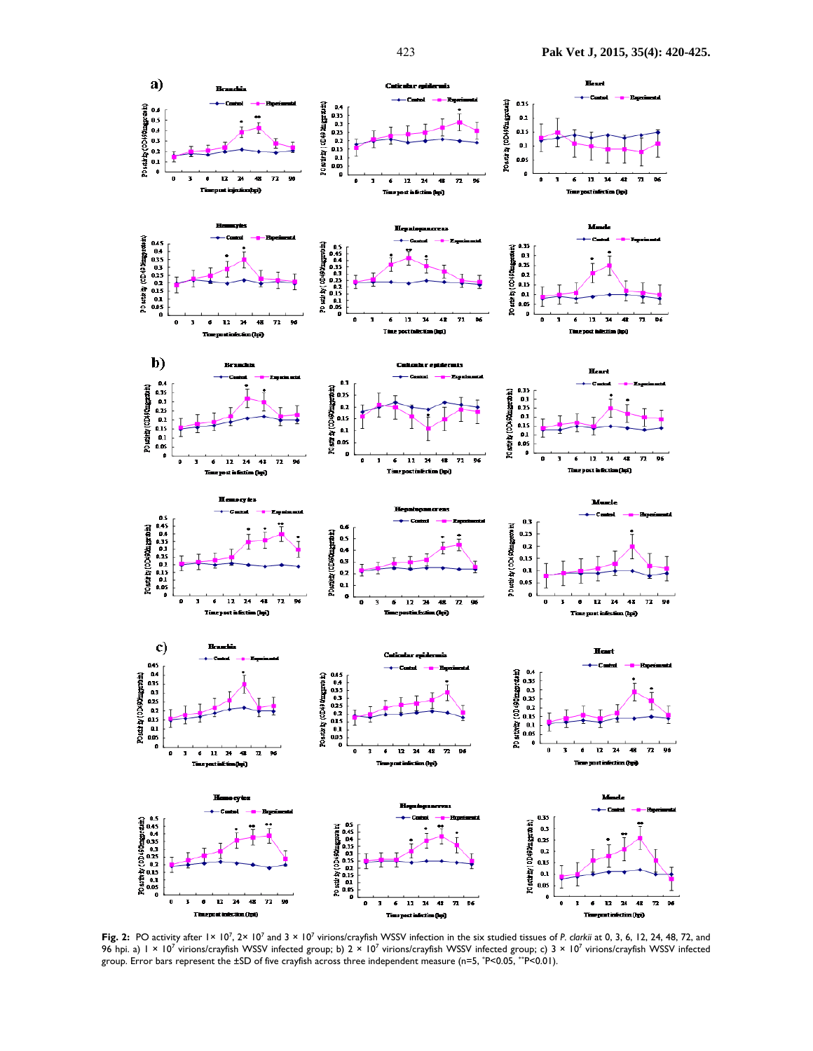

Fig. 2: PO activity after 1× 10<sup>7</sup>, 2× 10<sup>7</sup> and 3 × 10<sup>7</sup> virions/crayfish WSSV infection in the six studied tissues of *P. clarkii* at 0, 3, 6, 12, 24, 48, 72, and 96 hpi. a) | × 10<sup>7</sup> virions/crayfish WSSV infected group; b) 2 × 10<sup>7</sup> virions/crayfish WSSV infected group; c) 3 × 10<sup>7</sup> virions/crayfish WSSV infected group. Error bars represent the ±SD of five crayfish across three independent measure (n=5, \*P<0.05, \*\*P<0.01).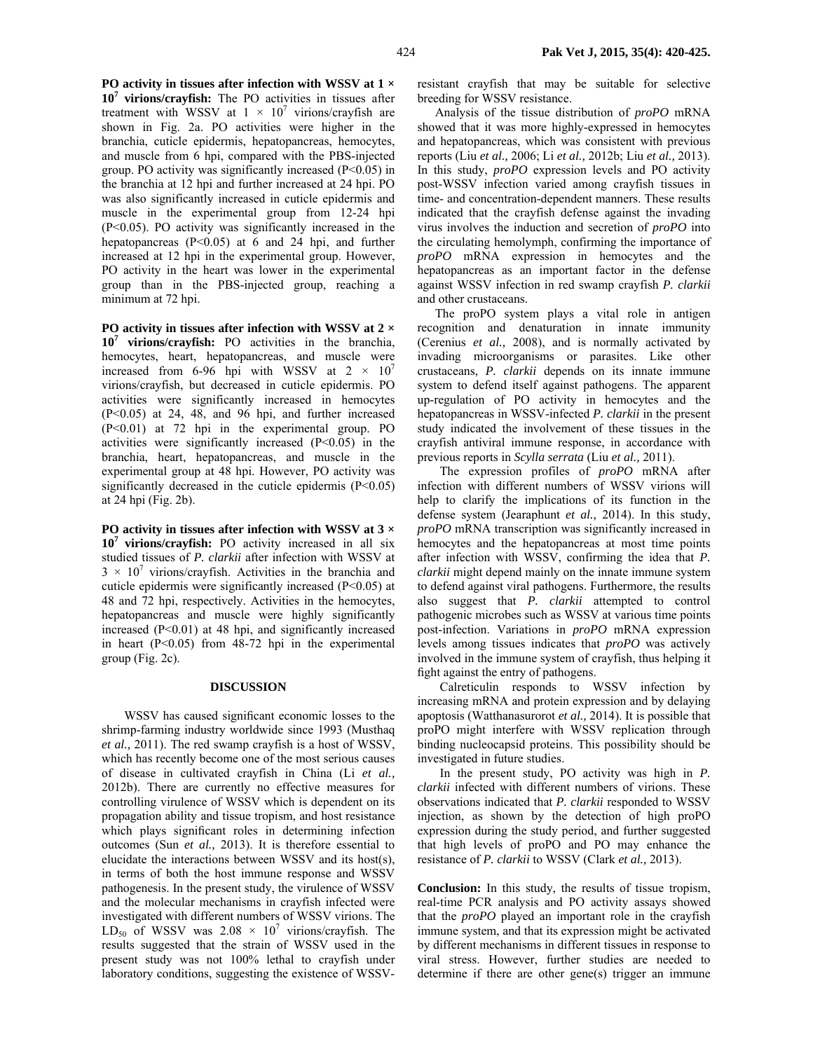**PO activity in tissues after infection with WSSV at 1 × 10<sup>7</sup> virions/crayfish:** The PO activities in tissues after treatment with WSSV at  $1 \times 10^7$  virions/crayfish are shown in Fig. 2a. PO activities were higher in the branchia, cuticle epidermis, hepatopancreas, hemocytes, and muscle from 6 hpi, compared with the PBS-injected group. PO activity was significantly increased (P<0.05) in the branchia at 12 hpi and further increased at 24 hpi. PO was also significantly increased in cuticle epidermis and muscle in the experimental group from 12-24 hpi (P<0.05). PO activity was significantly increased in the hepatopancreas (P<0.05) at 6 and 24 hpi, and further increased at 12 hpi in the experimental group. However, PO activity in the heart was lower in the experimental group than in the PBS-injected group, reaching a minimum at 72 hpi.

**PO activity in tissues after infection with WSSV at 2 × 10<sup>7</sup> virions/crayfish:** PO activities in the branchia, hemocytes, heart, hepatopancreas, and muscle were increased from 6-96 hpi with WSSV at  $2 \times 10^7$ virions/crayfish, but decreased in cuticle epidermis. PO activities were significantly increased in hemocytes (P<0.05) at 24, 48, and 96 hpi, and further increased (P<0.01) at 72 hpi in the experimental group. PO activities were significantly increased (P<0.05) in the branchia, heart, hepatopancreas, and muscle in the experimental group at 48 hpi. However, PO activity was significantly decreased in the cuticle epidermis  $(P<0.05)$ at 24 hpi (Fig. 2b).

**PO activity in tissues after infection with WSSV at 3 × 107 virions/crayfish:** PO activity increased in all six studied tissues of *P. clarkii* after infection with WSSV at  $3 \times 10^7$  virions/crayfish. Activities in the branchia and cuticle epidermis were significantly increased (P<0.05) at 48 and 72 hpi, respectively. Activities in the hemocytes, hepatopancreas and muscle were highly significantly increased (P<0.01) at 48 hpi, and significantly increased in heart  $(P<0.05)$  from 48-72 hpi in the experimental group (Fig. 2c).

## **DISCUSSION**

WSSV has caused significant economic losses to the shrimp-farming industry worldwide since 1993 (Musthaq *et al.,* 2011). The red swamp crayfish is a host of WSSV, which has recently become one of the most serious causes of disease in cultivated crayfish in China (Li *et al.,* 2012b). There are currently no effective measures for controlling virulence of WSSV which is dependent on its propagation ability and tissue tropism, and host resistance which plays significant roles in determining infection outcomes (Sun *et al.,* 2013). It is therefore essential to elucidate the interactions between WSSV and its host(s), in terms of both the host immune response and WSSV pathogenesis. In the present study, the virulence of WSSV and the molecular mechanisms in crayfish infected were investigated with different numbers of WSSV virions. The LD<sub>50</sub> of WSSV was  $2.08 \times 10^7$  virions/crayfish. The results suggested that the strain of WSSV used in the present study was not 100% lethal to crayfish under laboratory conditions, suggesting the existence of WSSV-

resistant crayfish that may be suitable for selective breeding for WSSV resistance.

Analysis of the tissue distribution of *proPO* mRNA showed that it was more highly-expressed in hemocytes and hepatopancreas, which was consistent with previous reports (Liu *et al.,* 2006; Li *et al.,* 2012b; Liu *et al.,* 2013). In this study, *proPO* expression levels and PO activity post-WSSV infection varied among crayfish tissues in time- and concentration-dependent manners. These results indicated that the crayfish defense against the invading virus involves the induction and secretion of *proPO* into the circulating hemolymph, confirming the importance of *proPO* mRNA expression in hemocytes and the hepatopancreas as an important factor in the defense against WSSV infection in red swamp crayfish *P. clarkii* and other crustaceans.

The proPO system plays a vital role in antigen recognition and denaturation in innate immunity (Cerenius *et al.,* 2008), and is normally activated by invading microorganisms or parasites. Like other crustaceans, *P. clarkii* depends on its innate immune system to defend itself against pathogens. The apparent up-regulation of PO activity in hemocytes and the hepatopancreas in WSSV-infected *P. clarkii* in the present study indicated the involvement of these tissues in the crayfish antiviral immune response, in accordance with previous reports in *Scylla serrata* (Liu *et al.,* 2011).

The expression profiles of *proPO* mRNA after infection with different numbers of WSSV virions will help to clarify the implications of its function in the defense system (Jearaphunt *et al.,* 2014). In this study, *proPO* mRNA transcription was significantly increased in hemocytes and the hepatopancreas at most time points after infection with WSSV, confirming the idea that *P. clarkii* might depend mainly on the innate immune system to defend against viral pathogens. Furthermore, the results also suggest that *P. clarkii* attempted to control pathogenic microbes such as WSSV at various time points post-infection. Variations in *proPO* mRNA expression levels among tissues indicates that *proPO* was actively involved in the immune system of crayfish, thus helping it fight against the entry of pathogens.

Calreticulin responds to WSSV infection by increasing mRNA and protein expression and by delaying apoptosis (Watthanasurorot *et al.,* 2014). It is possible that proPO might interfere with WSSV replication through binding nucleocapsid proteins. This possibility should be investigated in future studies.

In the present study, PO activity was high in *P. clarkii* infected with different numbers of virions. These observations indicated that *P. clarkii* responded to WSSV injection, as shown by the detection of high proPO expression during the study period, and further suggested that high levels of proPO and PO may enhance the resistance of *P. clarkii* to WSSV (Clark *et al.,* 2013).

**Conclusion:** In this study, the results of tissue tropism, real-time PCR analysis and PO activity assays showed that the *proPO* played an important role in the crayfish immune system, and that its expression might be activated by different mechanisms in different tissues in response to viral stress. However, further studies are needed to determine if there are other gene(s) trigger an immune